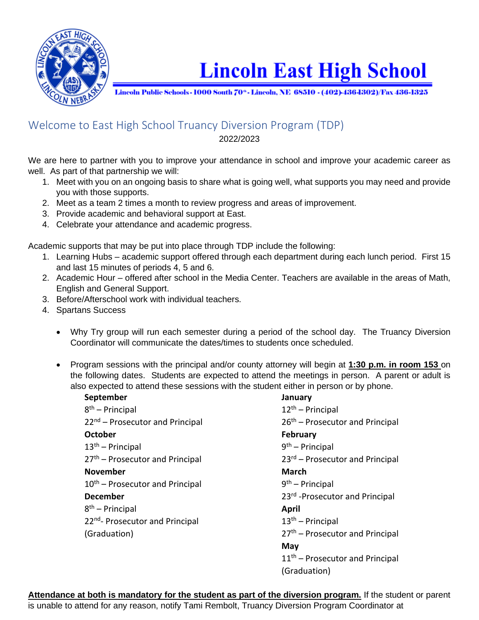

## **Lincoln East High School**

Lincoln Public Schools - 1000 South 70<sup>°</sup> - Lincoln, NE 68510 - (402)-436-1302)/Fax 436-1325

## Welcome to East High School Truancy Diversion Program (TDP) 2022/2023

We are here to partner with you to improve your attendance in school and improve your academic career as well. As part of that partnership we will:

- 1. Meet with you on an ongoing basis to share what is going well, what supports you may need and provide you with those supports.
- 2. Meet as a team 2 times a month to review progress and areas of improvement.
- 3. Provide academic and behavioral support at East.
- 4. Celebrate your attendance and academic progress.

Academic supports that may be put into place through TDP include the following:

- 1. Learning Hubs academic support offered through each department during each lunch period. First 15 and last 15 minutes of periods 4, 5 and 6.
- 2. Academic Hour offered after school in the Media Center. Teachers are available in the areas of Math, English and General Support.
- 3. Before/Afterschool work with individual teachers.
- 4. Spartans Success
	- Why Try group will run each semester during a period of the school day. The Truancy Diversion Coordinator will communicate the dates/times to students once scheduled.
	- Program sessions with the principal and/or county attorney will begin at **1:30 p.m. in room 153** on the following dates. Students are expected to attend the meetings in person. A parent or adult is also expected to attend these sessions with the student either in person or by phone.

| September                                   | January                                     |
|---------------------------------------------|---------------------------------------------|
| $8th$ – Principal                           | $12th$ – Principal                          |
| 22 <sup>nd</sup> – Prosecutor and Principal | 26 <sup>th</sup> – Prosecutor and Principal |
| <b>October</b>                              | <b>February</b>                             |
| $13th$ – Principal                          | $9th$ – Principal                           |
| 27 <sup>th</sup> – Prosecutor and Principal | 23rd - Prosecutor and Principal             |
| <b>November</b>                             | <b>March</b>                                |
| 10 <sup>th</sup> – Prosecutor and Principal | $9th$ – Principal                           |
| <b>December</b>                             | 23rd - Prosecutor and Principal             |
| $8th$ – Principal                           | April                                       |
| 22 <sup>nd</sup> - Prosecutor and Principal | $13th$ – Principal                          |
| (Graduation)                                | 27 <sup>th</sup> - Prosecutor and Principal |
|                                             | May                                         |
|                                             | 11 <sup>th</sup> - Prosecutor and Principal |
|                                             | (Graduation)                                |